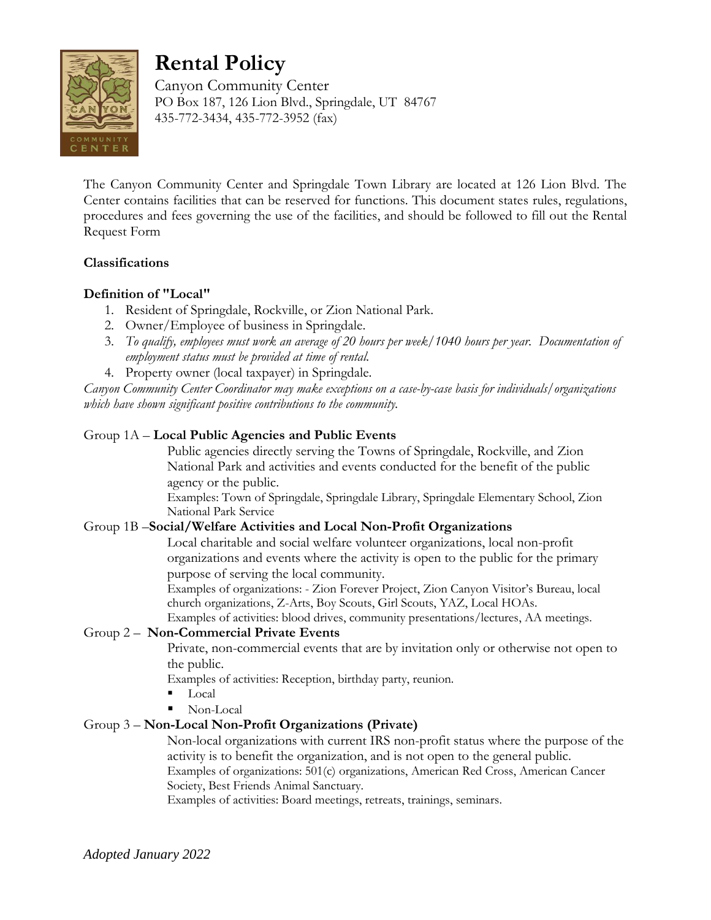

# **Rental Policy**

Canyon Community Center PO Box 187, 126 Lion Blvd., Springdale, UT 84767 435-772-3434, 435-772-3952 (fax)

The Canyon Community Center and Springdale Town Library are located at 126 Lion Blvd. The Center contains facilities that can be reserved for functions. This document states rules, regulations, procedures and fees governing the use of the facilities, and should be followed to fill out the Rental Request Form

# **Classifications**

## **Definition of "Local"**

- 1. Resident of Springdale, Rockville, or Zion National Park.
- 2. Owner/Employee of business in Springdale.
- 3. *To qualify, employees must work an average of 20 hours per week/1040 hours per year. Documentation of employment status must be provided at time of rental.*
- 4. Property owner (local taxpayer) in Springdale.

*Canyon Community Center Coordinator may make exceptions on a case-by-case basis for individuals/organizations which have shown significant positive contributions to the community.*

## Group 1A – **Local Public Agencies and Public Events**

Public agencies directly serving the Towns of Springdale, Rockville, and Zion National Park and activities and events conducted for the benefit of the public agency or the public.

Examples: Town of Springdale, Springdale Library, Springdale Elementary School, Zion National Park Service

## Group 1B –**Social/Welfare Activities and Local Non-Profit Organizations**

Local charitable and social welfare volunteer organizations, local non-profit organizations and events where the activity is open to the public for the primary purpose of serving the local community.

Examples of organizations: - Zion Forever Project, Zion Canyon Visitor's Bureau, local church organizations, Z-Arts, Boy Scouts, Girl Scouts, YAZ, Local HOAs.

Examples of activities: blood drives, community presentations/lectures, AA meetings.

## Group 2 – **Non-Commercial Private Events**

Private, non-commercial events that are by invitation only or otherwise not open to the public.

Examples of activities: Reception, birthday party, reunion.

- Local
- Non-Local

# Group 3 – **Non-Local Non-Profit Organizations (Private)**

Non-local organizations with current IRS non-profit status where the purpose of the activity is to benefit the organization, and is not open to the general public. Examples of organizations: 501(c) organizations, American Red Cross, American Cancer Society, Best Friends Animal Sanctuary.

Examples of activities: Board meetings, retreats, trainings, seminars.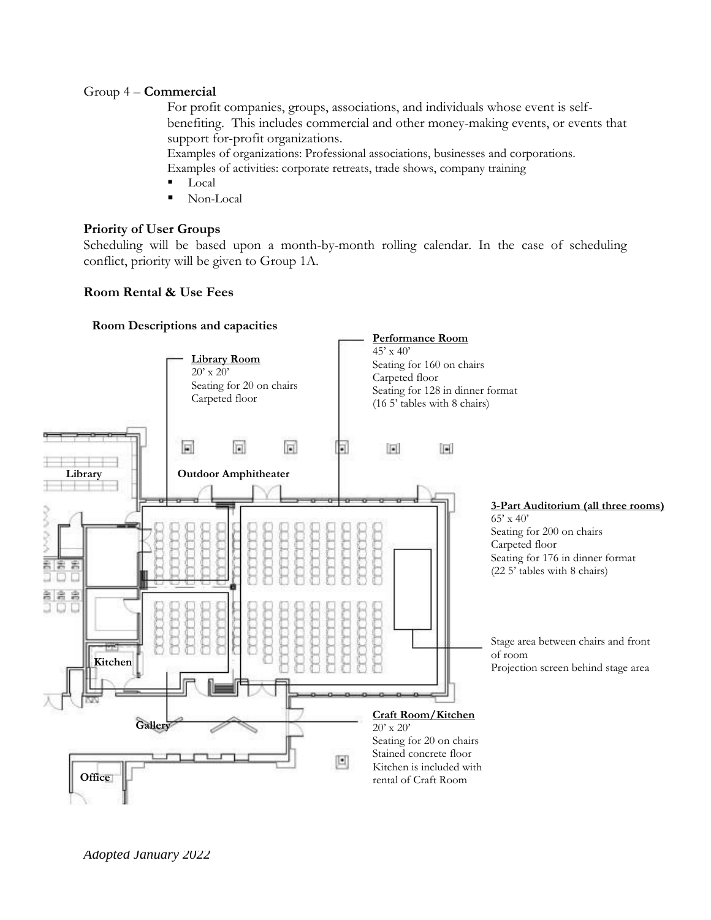#### Group 4 – **Commercial**

For profit companies, groups, associations, and individuals whose event is selfbenefiting. This includes commercial and other money-making events, or events that support for-profit organizations.

Examples of organizations: Professional associations, businesses and corporations.

- Examples of activities: corporate retreats, trade shows, company training
- Local
- Non-Local

#### **Priority of User Groups**

Scheduling will be based upon a month-by-month rolling calendar. In the case of scheduling conflict, priority will be given to Group 1A.

#### **Room Rental & Use Fees**

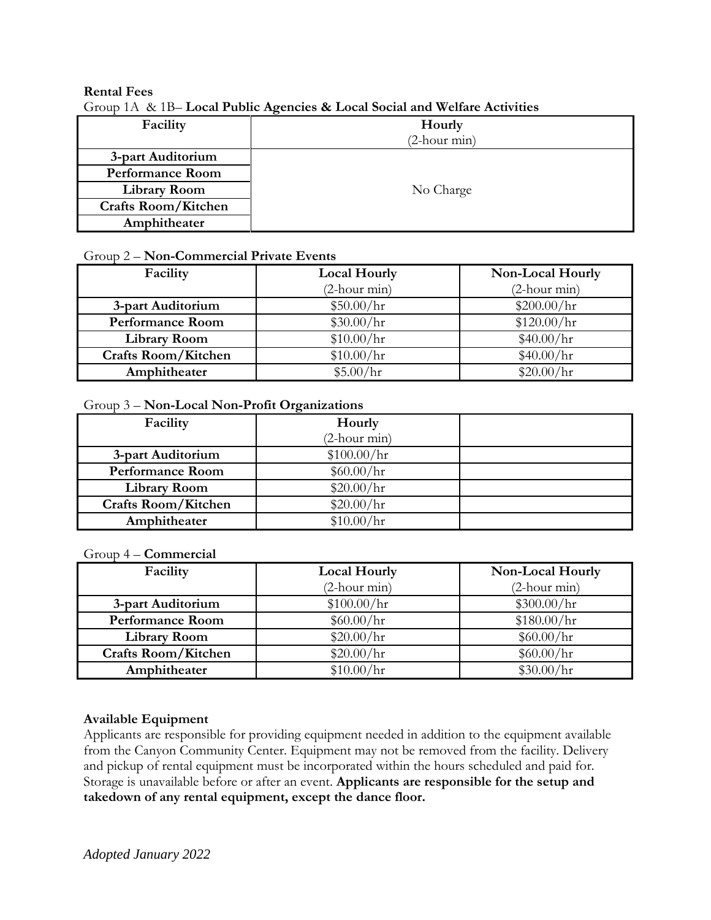## **Rental Fees**

Group 1A & 1B– **Local Public Agencies & Local Social and Welfare Activities**

| Facility                   | Hourly                 |  |
|----------------------------|------------------------|--|
|                            | $(2 \text{-hour min})$ |  |
| 3-part Auditorium          |                        |  |
| <b>Performance Room</b>    |                        |  |
| <b>Library Room</b>        | No Charge              |  |
| <b>Crafts Room/Kitchen</b> |                        |  |
| Amphitheater               |                        |  |

## Group 2 – **Non-Commercial Private Events**

| Facility                   | <b>Local Hourly</b>    | Non-Local Hourly       |
|----------------------------|------------------------|------------------------|
|                            | $(2 \text{-hour min})$ | $(2 \text{-hour min})$ |
| 3-part Auditorium          | \$50.00/hr             | \$200.00/hr            |
| <b>Performance Room</b>    | \$30.00/hr             | \$120.00/hr            |
| <b>Library Room</b>        | \$10.00/hr             | \$40.00/hr             |
| <b>Crafts Room/Kitchen</b> | \$10.00/hr             | \$40.00/hr             |
| Amphitheater               | \$5.00/hr              | \$20.00/hr             |

#### Group 3 – **Non-Local Non-Profit Organizations**

| Facility                   | Hourly                 |  |
|----------------------------|------------------------|--|
|                            | $(2 \text{-hour min})$ |  |
| 3-part Auditorium          | \$100.00/hr            |  |
| <b>Performance Room</b>    | \$60.00/hr             |  |
| <b>Library Room</b>        | \$20.00/hr             |  |
| <b>Crafts Room/Kitchen</b> | \$20.00/hr             |  |
| Amphitheater               | \$10.00/hr             |  |

#### Group 4 – **Commercial**

| Facility                   | <b>Local Hourly</b>    | Non-Local Hourly       |
|----------------------------|------------------------|------------------------|
|                            | $(2 \text{-hour min})$ | $(2 \text{-hour min})$ |
| 3-part Auditorium          | \$100.00/hr            | \$300.00/hr            |
| <b>Performance Room</b>    | \$60.00/hr             | \$180.00/hr            |
| <b>Library Room</b>        | \$20.00/hr             | \$60.00/hr             |
| <b>Crafts Room/Kitchen</b> | \$20.00/hr             | \$60.00/hr             |
| Amphitheater               | \$10.00/hr             | \$30.00/hr             |

## **Available Equipment**

Applicants are responsible for providing equipment needed in addition to the equipment available from the Canyon Community Center. Equipment may not be removed from the facility. Delivery and pickup of rental equipment must be incorporated within the hours scheduled and paid for. Storage is unavailable before or after an event. **Applicants are responsible for the setup and takedown of any rental equipment, except the dance floor.**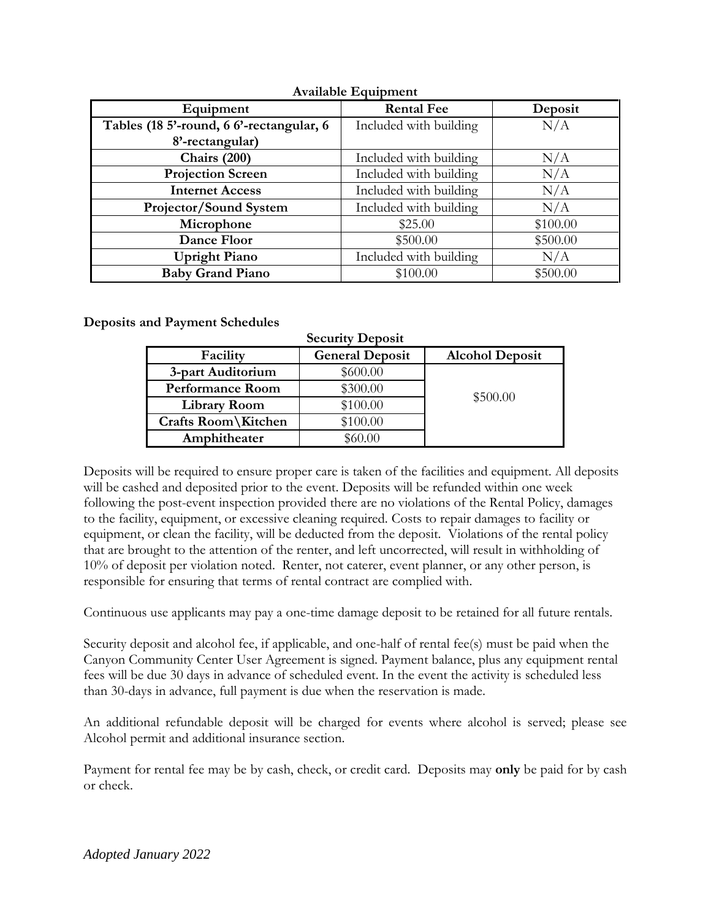| Equipment                              | <b>Rental Fee</b>      | Deposit  |  |  |
|----------------------------------------|------------------------|----------|--|--|
| Tables (185'-round, 66'-rectangular, 6 | Included with building | N/A      |  |  |
| 8'-rectangular)                        |                        |          |  |  |
| Chairs (200)                           | Included with building | N/A      |  |  |
| <b>Projection Screen</b>               | Included with building | N/A      |  |  |
| <b>Internet Access</b>                 | Included with building | N/A      |  |  |
| Projector/Sound System                 | Included with building | N/A      |  |  |
| Microphone                             | \$25.00                | \$100.00 |  |  |
| Dance Floor                            | \$500.00               | \$500.00 |  |  |
| <b>Upright Piano</b>                   | Included with building | N/A      |  |  |
| <b>Baby Grand Piano</b>                | \$100.00               | \$500.00 |  |  |

**Available Equipment**

**Deposits and Payment Schedules**

| <b>Security Deposit</b> |                        |                        |  |
|-------------------------|------------------------|------------------------|--|
| Facility                | <b>General Deposit</b> | <b>Alcohol Deposit</b> |  |
| 3-part Auditorium       | \$600.00               |                        |  |
| <b>Performance Room</b> | \$300.00               | \$500.00               |  |
| <b>Library Room</b>     | \$100.00               |                        |  |
| Crafts Room\Kitchen     | \$100.00               |                        |  |
| Amphitheater            | \$60.00                |                        |  |

Deposits will be required to ensure proper care is taken of the facilities and equipment. All deposits will be cashed and deposited prior to the event. Deposits will be refunded within one week following the post-event inspection provided there are no violations of the Rental Policy, damages to the facility, equipment, or excessive cleaning required. Costs to repair damages to facility or equipment, or clean the facility, will be deducted from the deposit. Violations of the rental policy that are brought to the attention of the renter, and left uncorrected, will result in withholding of 10% of deposit per violation noted. Renter, not caterer, event planner, or any other person, is responsible for ensuring that terms of rental contract are complied with.

Continuous use applicants may pay a one-time damage deposit to be retained for all future rentals.

Security deposit and alcohol fee, if applicable, and one-half of rental fee(s) must be paid when the Canyon Community Center User Agreement is signed. Payment balance, plus any equipment rental fees will be due 30 days in advance of scheduled event. In the event the activity is scheduled less than 30-days in advance, full payment is due when the reservation is made.

An additional refundable deposit will be charged for events where alcohol is served; please see Alcohol permit and additional insurance section.

Payment for rental fee may be by cash, check, or credit card. Deposits may **only** be paid for by cash or check.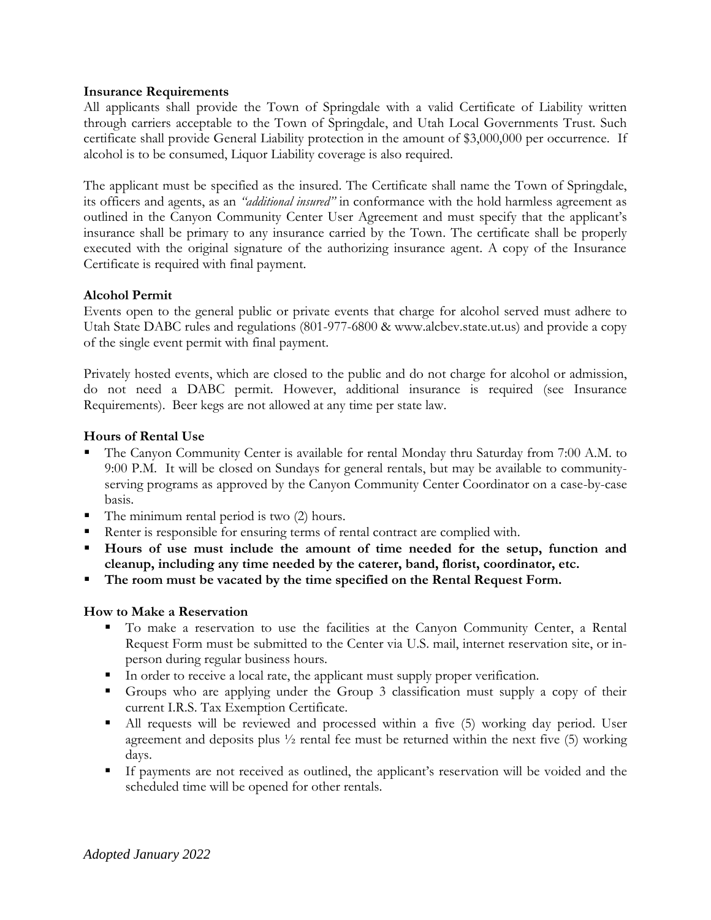## **Insurance Requirements**

All applicants shall provide the Town of Springdale with a valid Certificate of Liability written through carriers acceptable to the Town of Springdale, and Utah Local Governments Trust. Such certificate shall provide General Liability protection in the amount of \$3,000,000 per occurrence. If alcohol is to be consumed, Liquor Liability coverage is also required.

The applicant must be specified as the insured. The Certificate shall name the Town of Springdale, its officers and agents, as an *"additional insured"* in conformance with the hold harmless agreement as outlined in the Canyon Community Center User Agreement and must specify that the applicant's insurance shall be primary to any insurance carried by the Town. The certificate shall be properly executed with the original signature of the authorizing insurance agent. A copy of the Insurance Certificate is required with final payment.

## **Alcohol Permit**

Events open to the general public or private events that charge for alcohol served must adhere to Utah State DABC rules and regulations (801-977-6800 & www.alcbev.state.ut.us) and provide a copy of the single event permit with final payment.

Privately hosted events, which are closed to the public and do not charge for alcohol or admission, do not need a DABC permit. However, additional insurance is required (see Insurance Requirements). Beer kegs are not allowed at any time per state law.

## **Hours of Rental Use**

- The Canyon Community Center is available for rental Monday thru Saturday from 7:00 A.M. to 9:00 P.M. It will be closed on Sundays for general rentals, but may be available to communityserving programs as approved by the Canyon Community Center Coordinator on a case-by-case basis.
- The minimum rental period is two (2) hours.
- Renter is responsible for ensuring terms of rental contract are complied with.
- **Hours of use must include the amount of time needed for the setup, function and cleanup, including any time needed by the caterer, band, florist, coordinator, etc.**
- The room must be vacated by the time specified on the Rental Request Form.

## **How to Make a Reservation**

- To make a reservation to use the facilities at the Canyon Community Center, a Rental Request Form must be submitted to the Center via U.S. mail, internet reservation site, or inperson during regular business hours.
- In order to receive a local rate, the applicant must supply proper verification.
- Groups who are applying under the Group 3 classification must supply a copy of their current I.R.S. Tax Exemption Certificate.
- All requests will be reviewed and processed within a five (5) working day period. User agreement and deposits plus  $\frac{1}{2}$  rental fee must be returned within the next five (5) working days.
- If payments are not received as outlined, the applicant's reservation will be voided and the scheduled time will be opened for other rentals.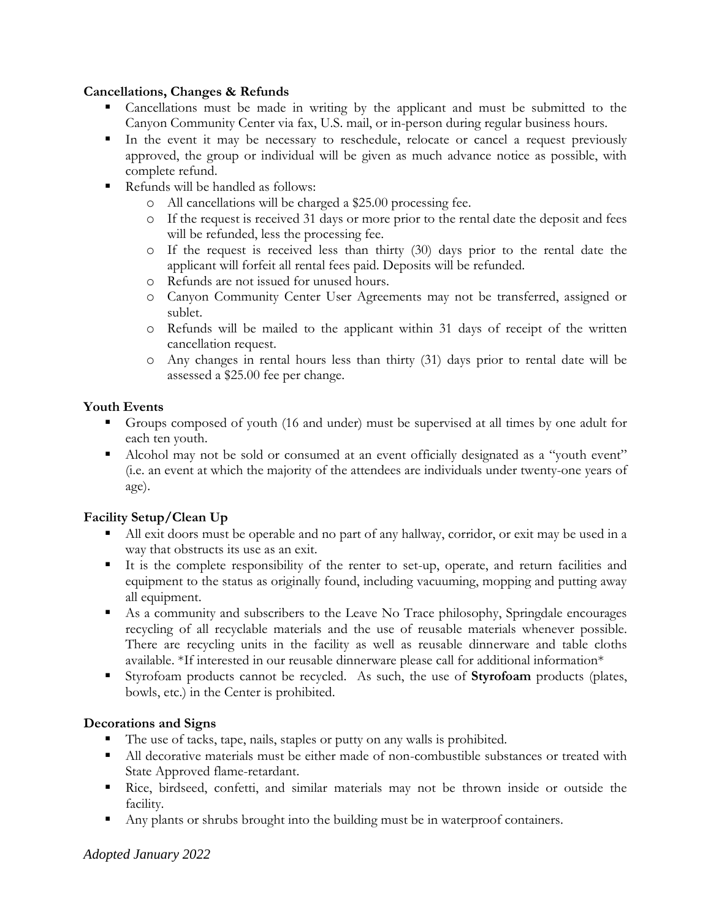## **Cancellations, Changes & Refunds**

- Cancellations must be made in writing by the applicant and must be submitted to the Canyon Community Center via fax, U.S. mail, or in-person during regular business hours.
- In the event it may be necessary to reschedule, relocate or cancel a request previously approved, the group or individual will be given as much advance notice as possible, with complete refund.
- Refunds will be handled as follows:
	- o All cancellations will be charged a \$25.00 processing fee.
	- o If the request is received 31 days or more prior to the rental date the deposit and fees will be refunded, less the processing fee.
	- o If the request is received less than thirty (30) days prior to the rental date the applicant will forfeit all rental fees paid. Deposits will be refunded.
	- o Refunds are not issued for unused hours.
	- o Canyon Community Center User Agreements may not be transferred, assigned or sublet.
	- o Refunds will be mailed to the applicant within 31 days of receipt of the written cancellation request.
	- o Any changes in rental hours less than thirty (31) days prior to rental date will be assessed a \$25.00 fee per change.

# **Youth Events**

- Groups composed of youth (16 and under) must be supervised at all times by one adult for each ten youth.
- Alcohol may not be sold or consumed at an event officially designated as a "youth event" (i.e. an event at which the majority of the attendees are individuals under twenty-one years of age).

# **Facility Setup/Clean Up**

- All exit doors must be operable and no part of any hallway, corridor, or exit may be used in a way that obstructs its use as an exit.
- It is the complete responsibility of the renter to set-up, operate, and return facilities and equipment to the status as originally found, including vacuuming, mopping and putting away all equipment.
- As a community and subscribers to the Leave No Trace philosophy, Springdale encourages recycling of all recyclable materials and the use of reusable materials whenever possible. There are recycling units in the facility as well as reusable dinnerware and table cloths available. \*If interested in our reusable dinnerware please call for additional information\*
- Styrofoam products cannot be recycled. As such, the use of **Styrofoam** products (plates, bowls, etc.) in the Center is prohibited.

# **Decorations and Signs**

- The use of tacks, tape, nails, staples or putty on any walls is prohibited.
- All decorative materials must be either made of non-combustible substances or treated with State Approved flame-retardant.
- Rice, birdseed, confetti, and similar materials may not be thrown inside or outside the facility.
- Any plants or shrubs brought into the building must be in waterproof containers.